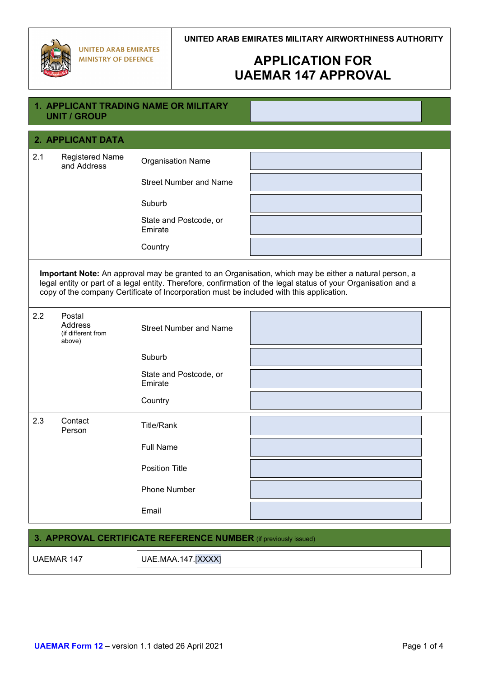

# **APPLICATION FOR UAEMAR 147 APPROVAL**

|                                                                                                                                                                                                                                                                                                                      | <b>UNIT / GROUP</b>                               | <b>1. APPLICANT TRADING NAME OR MILITARY</b> |  |  |
|----------------------------------------------------------------------------------------------------------------------------------------------------------------------------------------------------------------------------------------------------------------------------------------------------------------------|---------------------------------------------------|----------------------------------------------|--|--|
|                                                                                                                                                                                                                                                                                                                      | 2. APPLICANT DATA                                 |                                              |  |  |
| 2.1                                                                                                                                                                                                                                                                                                                  | <b>Registered Name</b><br>and Address             | <b>Organisation Name</b>                     |  |  |
|                                                                                                                                                                                                                                                                                                                      |                                                   | <b>Street Number and Name</b>                |  |  |
|                                                                                                                                                                                                                                                                                                                      |                                                   | Suburb                                       |  |  |
|                                                                                                                                                                                                                                                                                                                      |                                                   | State and Postcode, or<br>Emirate            |  |  |
|                                                                                                                                                                                                                                                                                                                      |                                                   | Country                                      |  |  |
| Important Note: An approval may be granted to an Organisation, which may be either a natural person, a<br>legal entity or part of a legal entity. Therefore, confirmation of the legal status of your Organisation and a<br>copy of the company Certificate of Incorporation must be included with this application. |                                                   |                                              |  |  |
| 2.2                                                                                                                                                                                                                                                                                                                  | Postal<br>Address<br>(if different from<br>above) | <b>Street Number and Name</b>                |  |  |
|                                                                                                                                                                                                                                                                                                                      |                                                   | Suburb                                       |  |  |
|                                                                                                                                                                                                                                                                                                                      |                                                   | State and Postcode, or<br>Emirate            |  |  |
|                                                                                                                                                                                                                                                                                                                      |                                                   | Country                                      |  |  |
| 2.3                                                                                                                                                                                                                                                                                                                  | Contact<br>Person                                 | <b>Title/Rank</b>                            |  |  |
|                                                                                                                                                                                                                                                                                                                      |                                                   | <b>Full Name</b>                             |  |  |
|                                                                                                                                                                                                                                                                                                                      |                                                   | <b>Position Title</b>                        |  |  |
|                                                                                                                                                                                                                                                                                                                      |                                                   | <b>Phone Number</b>                          |  |  |
|                                                                                                                                                                                                                                                                                                                      |                                                   | Email                                        |  |  |

#### **3. APPROVAL CERTIFICATE REFERENCE NUMBER** (if previously issued)

UAEMAR 147 UAE.MAA.147.[XXXX]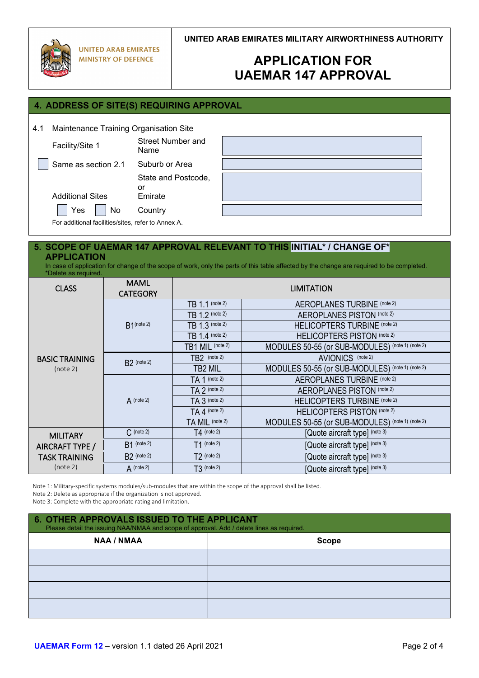

**UNITED ARAB EMIRATES MILITARY AIRWORTHINESS AUTHORITY**

# **APPLICATION FOR UAEMAR 147 APPROVAL**

### **4. ADDRESS OF SITE(S) REQUIRING APPROVAL**

4.1 Maintenance Training Organisation Site

Facility/Site 1 Street Number and

Name Same as section 2.1 Suburb or Area

State and Postcode,

or

Additional Sites Emirate



For additional facilities/sites, refer to Annex A.

Yes No Country

#### **5. SCOPE OF UAEMAR 147 APPROVAL RELEVANT TO THIS INITIAL\* / CHANGE OF\* APPLICATION**

In case of application for change of the scope of work, only the parts of this table affected by the change are required to be completed. \*Delete as required.

| <b>CLASS</b>                      | <b>MAML</b><br><b>CATEGORY</b> |                  | <b>LIMITATION</b>                                |
|-----------------------------------|--------------------------------|------------------|--------------------------------------------------|
|                                   | $B1$ (note 2)                  | TB 1.1 (note 2)  | <b>AEROPLANES TURBINE (note 2)</b>               |
|                                   |                                | TB 1.2 (note 2)  | AEROPLANES PISTON (note 2)                       |
|                                   |                                | TB 1.3 (note 2)  | HELICOPTERS TURBINE (note 2)                     |
|                                   |                                | TB 1.4 (note 2)  | HELICOPTERS PISTON (note 2)                      |
|                                   |                                | TB1 MIL (note 2) | MODULES 50-55 (or SUB-MODULES) (note 1) (note 2) |
| <b>BASIC TRAINING</b><br>(note 2) | $B2$ (note 2)                  | $TB2$ (note 2)   | AVIONICS (note 2)                                |
|                                   |                                | TB2 MIL          | MODULES 50-55 (or SUB-MODULES) (note 1) (note 2) |
|                                   | $\bf{A}$ (note 2)              | $TA 1$ (note 2)  | <b>AEROPLANES TURBINE (note 2)</b>               |
|                                   |                                | $TA$ 2 (note 2)  | AEROPLANES PISTON (note 2)                       |
|                                   |                                | $TA 3$ (note 2)  | HELICOPTERS TURBINE (note 2)                     |
|                                   |                                | $TA$ 4 (note 2)  | HELICOPTERS PISTON (note 2)                      |
|                                   |                                | TA MIL (note 2)  | MODULES 50-55 (or SUB-MODULES) (note 1) (note 2) |
| <b>MILITARY</b>                   | $C$ (note 2)                   | $T4$ (note 2)    | [Quote aircraft type] (note 3)                   |
| AIRCRAFT TYPE /                   | $B1$ (note 2)                  | $T1$ (note 2)    | [Quote aircraft type] (note 3)                   |
| TASK TRAINING<br>(note 2)         | $B2$ (note 2)                  | $T2$ (note 2)    | [Quote aircraft type] (note 3)                   |
|                                   | $A$ (note 2)                   | $T3$ (note 2)    | [Quote aircraft type] (note 3)                   |

Note 1: Military-specific systems modules/sub-modules that are within the scope of the approval shall be listed.

Note 2: Delete as appropriate if the organization is not approved.

Note 3: Complete with the appropriate rating and limitation.

| 6. OTHER APPROVALS ISSUED TO THE APPLICANT<br>Please detail the issuing NAA/NMAA and scope of approval. Add / delete lines as required. |       |  |  |
|-----------------------------------------------------------------------------------------------------------------------------------------|-------|--|--|
| <b>NAA / NMAA</b>                                                                                                                       | Scope |  |  |
|                                                                                                                                         |       |  |  |
|                                                                                                                                         |       |  |  |
|                                                                                                                                         |       |  |  |
|                                                                                                                                         |       |  |  |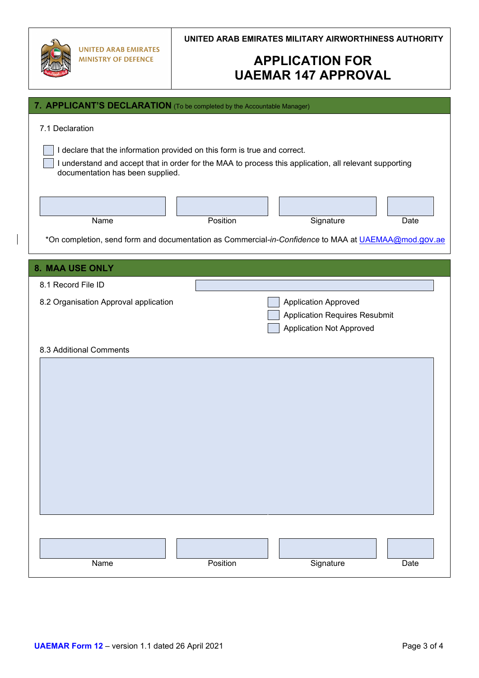| 川 |  |
|---|--|

**UNITED ARAB EMIRATES MILITARY AIRWORTHINESS AUTHORITY**

# **APPLICATION FOR UAEMAR 147 APPROVAL**

| 7. APPLICANT'S DECLARATION (To be completed by the Accountable Manager)                                                                                                                                                                    |          |                                                                                                        |      |  |
|--------------------------------------------------------------------------------------------------------------------------------------------------------------------------------------------------------------------------------------------|----------|--------------------------------------------------------------------------------------------------------|------|--|
| 7.1 Declaration<br>I declare that the information provided on this form is true and correct.<br>I understand and accept that in order for the MAA to process this application, all relevant supporting<br>documentation has been supplied. |          |                                                                                                        |      |  |
| Name<br>*On completion, send form and documentation as Commercial-in-Confidence to MAA at UAEMAA@mod.gov.ae                                                                                                                                | Position | Signature                                                                                              | Date |  |
|                                                                                                                                                                                                                                            |          |                                                                                                        |      |  |
| 8. MAA USE ONLY<br>8.1 Record File ID                                                                                                                                                                                                      |          |                                                                                                        |      |  |
| 8.2 Organisation Approval application                                                                                                                                                                                                      |          | <b>Application Approved</b><br><b>Application Requires Resubmit</b><br><b>Application Not Approved</b> |      |  |
| 8.3 Additional Comments                                                                                                                                                                                                                    |          |                                                                                                        |      |  |
| Name                                                                                                                                                                                                                                       | Position | Signature                                                                                              | Date |  |